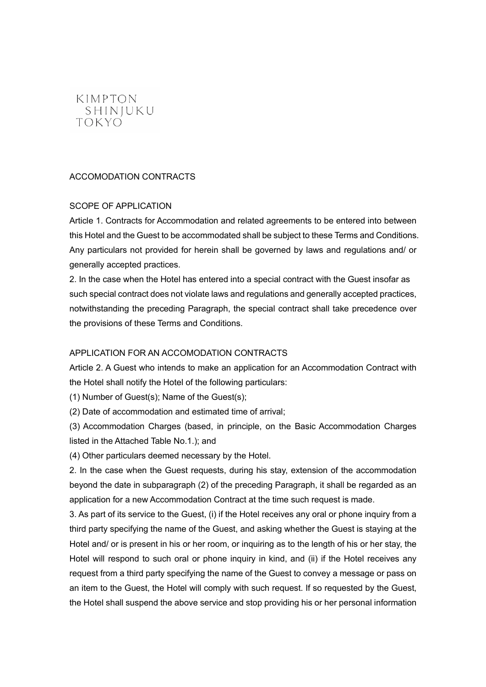

# ACCOMODATION CONTRACTS

#### SCOPE OF APPLICATION

Article 1. Contracts for Accommodation and related agreements to be entered into between this Hotel and the Guest to be accommodated shall be subject to these Terms and Conditions. Any particulars not provided for herein shall be governed by laws and regulations and/ or generally accepted practices.

2. In the case when the Hotel has entered into a special contract with the Guest insofar as such special contract does not violate laws and regulations and generally accepted practices, notwithstanding the preceding Paragraph, the special contract shall take precedence over the provisions of these Terms and Conditions.

#### APPLICATION FOR AN ACCOMODATION CONTRACTS

Article 2. A Guest who intends to make an application for an Accommodation Contract with the Hotel shall notify the Hotel of the following particulars:

(1) Number of Guest(s); Name of the Guest(s);

(2) Date of accommodation and estimated time of arrival;

(3) Accommodation Charges (based, in principle, on the Basic Accommodation Charges listed in the Attached Table No.1.); and

(4) Other particulars deemed necessary by the Hotel.

2. In the case when the Guest requests, during his stay, extension of the accommodation beyond the date in subparagraph (2) of the preceding Paragraph, it shall be regarded as an application for a new Accommodation Contract at the time such request is made.

3. As part of its service to the Guest, (i) if the Hotel receives any oral or phone inquiry from a third party specifying the name of the Guest, and asking whether the Guest is staying at the Hotel and/ or is present in his or her room, or inquiring as to the length of his or her stay, the Hotel will respond to such oral or phone inquiry in kind, and (ii) if the Hotel receives any request from a third party specifying the name of the Guest to convey a message or pass on an item to the Guest, the Hotel will comply with such request. If so requested by the Guest, the Hotel shall suspend the above service and stop providing his or her personal information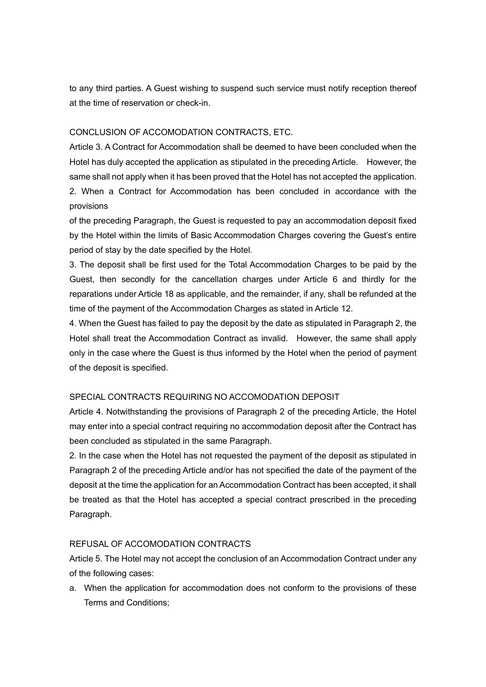to any third parties. A Guest wishing to suspend such service must notify reception thereof at the time of reservation or check-in.

### CONCLUSION OF ACCOMODATION CONTRACTS, ETC.

Article 3. A Contract for Accommodation shall be deemed to have been concluded when the Hotel has duly accepted the application as stipulated in the preceding Article. However, the same shall not apply when it has been proved that the Hotel has not accepted the application. 2. When a Contract for Accommodation has been concluded in accordance with the provisions

of the preceding Paragraph, the Guest is requested to pay an accommodation deposit fixed by the Hotel within the limits of Basic Accommodation Charges covering the Guest's entire period of stay by the date specified by the Hotel.

3. The deposit shall be first used for the Total Accommodation Charges to be paid by the Guest, then secondly for the cancellation charges under Article 6 and thirdly for the reparations under Article 18 as applicable, and the remainder, if any, shall be refunded at the time of the payment of the Accommodation Charges as stated in Article 12.

4. When the Guest has failed to pay the deposit by the date as stipulated in Paragraph 2, the Hotel shall treat the Accommodation Contract as invalid. However, the same shall apply only in the case where the Guest is thus informed by the Hotel when the period of payment of the deposit is specified.

# SPECIAL CONTRACTS REQUIRING NO ACCOMODATION DEPOSIT

Article 4. Notwithstanding the provisions of Paragraph 2 of the preceding Article, the Hotel may enter into a special contract requiring no accommodation deposit after the Contract has been concluded as stipulated in the same Paragraph.

2. In the case when the Hotel has not requested the payment of the deposit as stipulated in Paragraph 2 of the preceding Article and/or has not specified the date of the payment of the deposit at the time the application for an Accommodation Contract has been accepted, it shall be treated as that the Hotel has accepted a special contract prescribed in the preceding Paragraph.

#### REFUSAL OF ACCOMODATION CONTRACTS

Article 5. The Hotel may not accept the conclusion of an Accommodation Contract under any of the following cases:

a. When the application for accommodation does not conform to the provisions of these Terms and Conditions;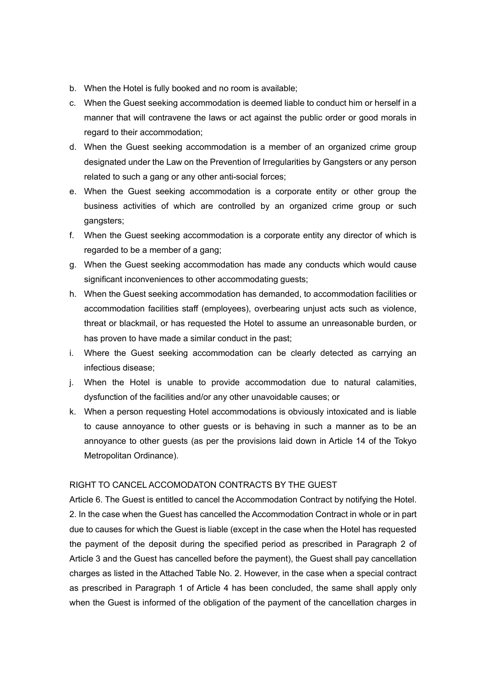- b. When the Hotel is fully booked and no room is available;
- c. When the Guest seeking accommodation is deemed liable to conduct him or herself in a manner that will contravene the laws or act against the public order or good morals in regard to their accommodation;
- d. When the Guest seeking accommodation is a member of an organized crime group designated under the Law on the Prevention of Irregularities by Gangsters or any person related to such a gang or any other anti-social forces;
- e. When the Guest seeking accommodation is a corporate entity or other group the business activities of which are controlled by an organized crime group or such gangsters;
- f. When the Guest seeking accommodation is a corporate entity any director of which is regarded to be a member of a gang;
- g. When the Guest seeking accommodation has made any conducts which would cause significant inconveniences to other accommodating guests;
- h. When the Guest seeking accommodation has demanded, to accommodation facilities or accommodation facilities staff (employees), overbearing unjust acts such as violence, threat or blackmail, or has requested the Hotel to assume an unreasonable burden, or has proven to have made a similar conduct in the past;
- i. Where the Guest seeking accommodation can be clearly detected as carrying an infectious disease;
- j. When the Hotel is unable to provide accommodation due to natural calamities, dysfunction of the facilities and/or any other unavoidable causes; or
- k. When a person requesting Hotel accommodations is obviously intoxicated and is liable to cause annoyance to other guests or is behaving in such a manner as to be an annoyance to other guests (as per the provisions laid down in Article 14 of the Tokyo Metropolitan Ordinance).

### RIGHT TO CANCEL ACCOMODATON CONTRACTS BY THE GUEST

Article 6. The Guest is entitled to cancel the Accommodation Contract by notifying the Hotel. 2. In the case when the Guest has cancelled the Accommodation Contract in whole or in part due to causes for which the Guest is liable (except in the case when the Hotel has requested the payment of the deposit during the specified period as prescribed in Paragraph 2 of Article 3 and the Guest has cancelled before the payment), the Guest shall pay cancellation charges as listed in the Attached Table No. 2. However, in the case when a special contract as prescribed in Paragraph 1 of Article 4 has been concluded, the same shall apply only when the Guest is informed of the obligation of the payment of the cancellation charges in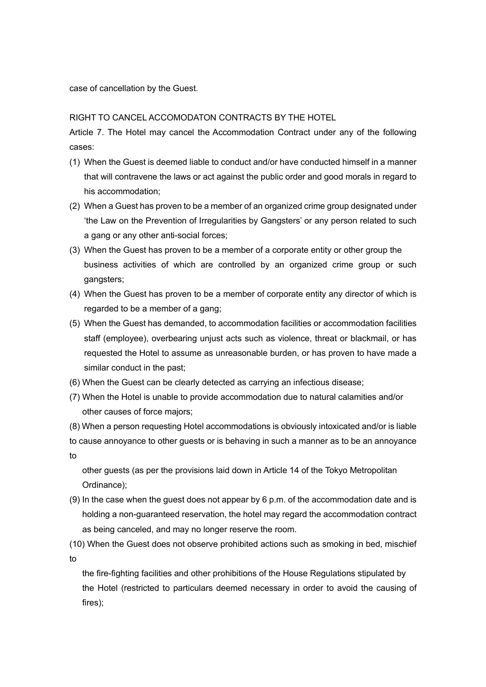case of cancellation by the Guest.

#### RIGHT TO CANCEL ACCOMODATON CONTRACTS BY THE HOTEL

Article 7. The Hotel may cancel the Accommodation Contract under any of the following cases:

- (1) When the Guest is deemed liable to conduct and/or have conducted himself in a manner that will contravene the laws or act against the public order and good morals in regard to his accommodation;
- (2) When a Guest has proven to be a member of an organized crime group designated under 'the Law on the Prevention of Irregularities by Gangsters' or any person related to such a gang or any other anti-social forces;
- (3) When the Guest has proven to be a member of a corporate entity or other group the business activities of which are controlled by an organized crime group or such gangsters;
- (4) When the Guest has proven to be a member of corporate entity any director of which is regarded to be a member of a gang;
- (5) When the Guest has demanded, to accommodation facilities or accommodation facilities staff (employee), overbearing unjust acts such as violence, threat or blackmail, or has requested the Hotel to assume as unreasonable burden, or has proven to have made a similar conduct in the past;
- (6) When the Guest can be clearly detected as carrying an infectious disease;
- (7) When the Hotel is unable to provide accommodation due to natural calamities and/or other causes of force majors;

(8) When a person requesting Hotel accommodations is obviously intoxicated and/or is liable

to cause annoyance to other guests or is behaving in such a manner as to be an annoyance to

other guests (as per the provisions laid down in Article 14 of the Tokyo Metropolitan Ordinance);

- (9) In the case when the guest does not appear by 6 p.m. of the accommodation date and is holding a non-guaranteed reservation, the hotel may regard the accommodation contract as being canceled, and may no longer reserve the room.
- (10) When the Guest does not observe prohibited actions such as smoking in bed, mischief to

the fire-fighting facilities and other prohibitions of the House Regulations stipulated by the Hotel (restricted to particulars deemed necessary in order to avoid the causing of fires);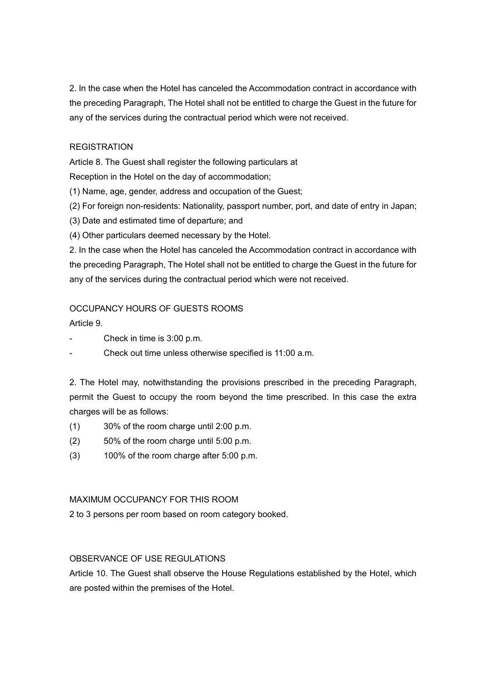2. In the case when the Hotel has canceled the Accommodation contract in accordance with the preceding Paragraph, The Hotel shall not be entitled to charge the Guest in the future for any of the services during the contractual period which were not received.

# **REGISTRATION**

Article 8. The Guest shall register the following particulars at

Reception in the Hotel on the day of accommodation;

(1) Name, age, gender, address and occupation of the Guest;

(2) For foreign non-residents: Nationality, passport number, port, and date of entry in Japan;

(3) Date and estimated time of departure; and

(4) Other particulars deemed necessary by the Hotel.

2. In the case when the Hotel has canceled the Accommodation contract in accordance with the preceding Paragraph, The Hotel shall not be entitled to charge the Guest in the future for any of the services during the contractual period which were not received.

# OCCUPANCY HOURS OF GUESTS ROOMS

Article 9.

- Check in time is 3:00 p.m.
- Check out time unless otherwise specified is 11:00 a.m.

2. The Hotel may, notwithstanding the provisions prescribed in the preceding Paragraph, permit the Guest to occupy the room beyond the time prescribed. In this case the extra charges will be as follows:

- (1) 30% of the room charge until 2:00 p.m.
- (2) 50% of the room charge until 5:00 p.m.
- (3) 100% of the room charge after 5:00 p.m.

# MAXIMUM OCCUPANCY FOR THIS ROOM

2 to 3 persons per room based on room category booked.

# OBSERVANCE OF USE REGULATIONS

Article 10. The Guest shall observe the House Regulations established by the Hotel, which are posted within the premises of the Hotel.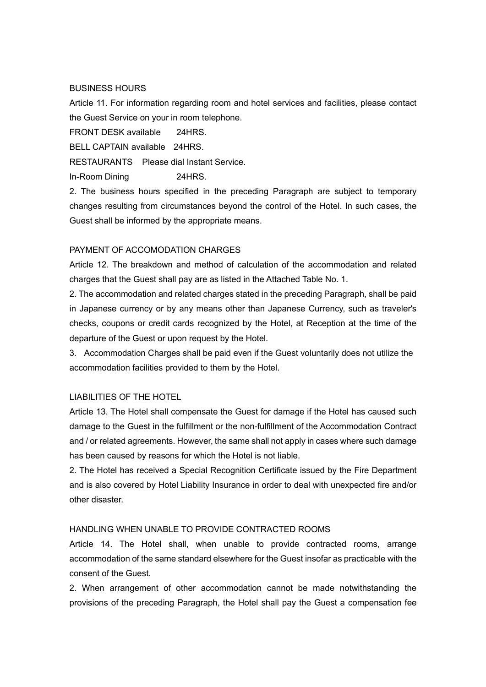### BUSINESS HOURS

Article 11. For information regarding room and hotel services and facilities, please contact the Guest Service on your in room telephone.

FRONT DESK available 24HRS.

BELL CAPTAIN available 24HRS.

RESTAURANTS Please dial Instant Service.

In-Room Dining 24HRS.

2. The business hours specified in the preceding Paragraph are subject to temporary changes resulting from circumstances beyond the control of the Hotel. In such cases, the Guest shall be informed by the appropriate means.

### PAYMENT OF ACCOMODATION CHARGES

Article 12. The breakdown and method of calculation of the accommodation and related charges that the Guest shall pay are as listed in the Attached Table No. 1.

2. The accommodation and related charges stated in the preceding Paragraph, shall be paid in Japanese currency or by any means other than Japanese Currency, such as traveler's checks, coupons or credit cards recognized by the Hotel, at Reception at the time of the departure of the Guest or upon request by the Hotel.

3. Accommodation Charges shall be paid even if the Guest voluntarily does not utilize the accommodation facilities provided to them by the Hotel.

# LIABILITIES OF THE HOTEL

Article 13. The Hotel shall compensate the Guest for damage if the Hotel has caused such damage to the Guest in the fulfillment or the non-fulfillment of the Accommodation Contract and / or related agreements. However, the same shall not apply in cases where such damage has been caused by reasons for which the Hotel is not liable.

2. The Hotel has received a Special Recognition Certificate issued by the Fire Department and is also covered by Hotel Liability Insurance in order to deal with unexpected fire and/or other disaster.

# HANDLING WHEN UNABLE TO PROVIDE CONTRACTED ROOMS

Article 14. The Hotel shall, when unable to provide contracted rooms, arrange accommodation of the same standard elsewhere for the Guest insofar as practicable with the consent of the Guest.

2. When arrangement of other accommodation cannot be made notwithstanding the provisions of the preceding Paragraph, the Hotel shall pay the Guest a compensation fee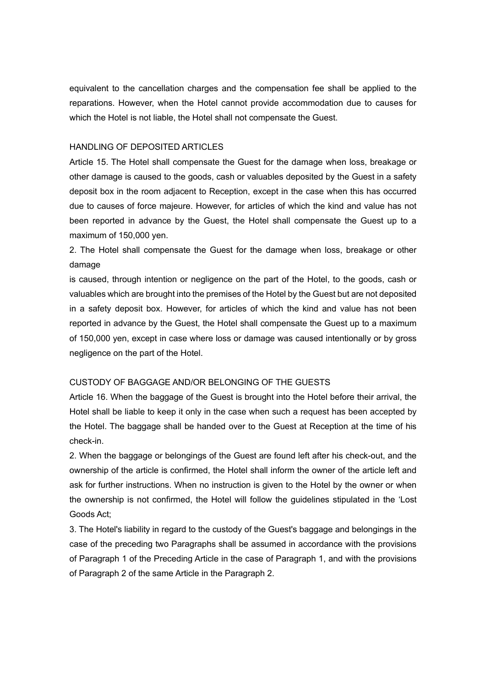equivalent to the cancellation charges and the compensation fee shall be applied to the reparations. However, when the Hotel cannot provide accommodation due to causes for which the Hotel is not liable, the Hotel shall not compensate the Guest.

#### HANDLING OF DEPOSITED ARTICLES

Article 15. The Hotel shall compensate the Guest for the damage when loss, breakage or other damage is caused to the goods, cash or valuables deposited by the Guest in a safety deposit box in the room adjacent to Reception, except in the case when this has occurred due to causes of force majeure. However, for articles of which the kind and value has not been reported in advance by the Guest, the Hotel shall compensate the Guest up to a maximum of 150,000 yen.

2. The Hotel shall compensate the Guest for the damage when loss, breakage or other damage

is caused, through intention or negligence on the part of the Hotel, to the goods, cash or valuables which are brought into the premises of the Hotel by the Guest but are not deposited in a safety deposit box. However, for articles of which the kind and value has not been reported in advance by the Guest, the Hotel shall compensate the Guest up to a maximum of 150,000 yen, except in case where loss or damage was caused intentionally or by gross negligence on the part of the Hotel.

### CUSTODY OF BAGGAGE AND/OR BELONGING OF THE GUESTS

Article 16. When the baggage of the Guest is brought into the Hotel before their arrival, the Hotel shall be liable to keep it only in the case when such a request has been accepted by the Hotel. The baggage shall be handed over to the Guest at Reception at the time of his check-in.

2. When the baggage or belongings of the Guest are found left after his check-out, and the ownership of the article is confirmed, the Hotel shall inform the owner of the article left and ask for further instructions. When no instruction is given to the Hotel by the owner or when the ownership is not confirmed, the Hotel will follow the guidelines stipulated in the 'Lost Goods Act;

3. The Hotel's liability in regard to the custody of the Guest's baggage and belongings in the case of the preceding two Paragraphs shall be assumed in accordance with the provisions of Paragraph 1 of the Preceding Article in the case of Paragraph 1, and with the provisions of Paragraph 2 of the same Article in the Paragraph 2.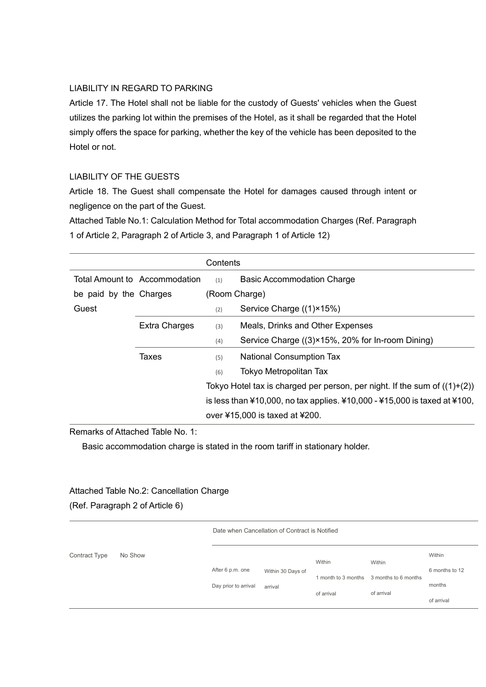### LIABILITY IN REGARD TO PARKING

Article 17. The Hotel shall not be liable for the custody of Guests' vehicles when the Guest utilizes the parking lot within the premises of the Hotel, as it shall be regarded that the Hotel simply offers the space for parking, whether the key of the vehicle has been deposited to the Hotel or not.

### LIABILITY OF THE GUESTS

Article 18. The Guest shall compensate the Hotel for damages caused through intent or negligence on the part of the Guest.

Attached Table No.1: Calculation Method for Total accommodation Charges (Ref. Paragraph 1 of Article 2, Paragraph 2 of Article 3, and Paragraph 1 of Article 12)

|                        |                               | Contents                                                                    |                                                  |  |  |  |
|------------------------|-------------------------------|-----------------------------------------------------------------------------|--------------------------------------------------|--|--|--|
|                        | Total Amount to Accommodation | (1)                                                                         | <b>Basic Accommodation Charge</b>                |  |  |  |
| be paid by the Charges |                               | (Room Charge)                                                               |                                                  |  |  |  |
| Guest                  |                               | (2)                                                                         | Service Charge ((1)×15%)                         |  |  |  |
|                        | <b>Extra Charges</b>          | (3)                                                                         | Meals, Drinks and Other Expenses                 |  |  |  |
|                        |                               | (4)                                                                         | Service Charge ((3)×15%, 20% for In-room Dining) |  |  |  |
|                        | <b>Taxes</b>                  | (5)                                                                         | <b>National Consumption Tax</b>                  |  |  |  |
|                        |                               | (6)                                                                         | Tokyo Metropolitan Tax                           |  |  |  |
|                        |                               | Tokyo Hotel tax is charged per person, per night. If the sum of $((1)+(2))$ |                                                  |  |  |  |
|                        |                               | is less than ¥10,000, no tax applies. ¥10,000 - ¥15,000 is taxed at ¥100,   |                                                  |  |  |  |
|                        |                               | over ¥15,000 is taxed at ¥200.                                              |                                                  |  |  |  |

Remarks of Attached Table No. 1:

Basic accommodation charge is stated in the room tariff in stationary holder.

# Attached Table No.2: Cancellation Charge

(Ref. Paragraph 2 of Article 6)

Date when Cancellation of Contract is Notified Contract Type No Show After 6 p.m. one Day prior to arrival arrival Within 30 Days of **Within** 1 month to 3 months 3 months to 6 months of arrival Within of arrival Within 6 months to 12 months of arrival